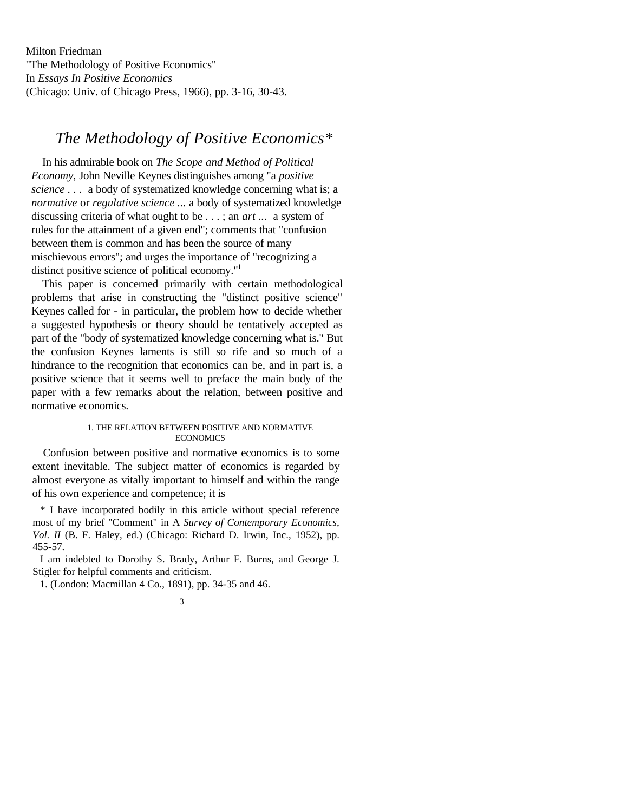Milton Friedman "The Methodology of Positive Economics" In *Essays In Positive Economics* (Chicago: Univ. of Chicago Press, 1966), pp. 3-16, 30-43.

# *The Methodology of Positive Economics\**

In his admirable book on *The Scope and Method of Political Economy*, John Neville Keynes distinguishes among "a *positive science . . .* a body of systematized knowledge concerning what is; a *normative* or *regulative science ...* a body of systematized knowledge discussing criteria of what ought to be . . . ; an *art ...* a system of rules for the attainment of a given end"; comments that "confusion between them is common and has been the source of many mischievous errors"; and urges the importance of "recognizing a distinct positive science of political economy."<sup>1</sup>

This paper is concerned primarily with certain methodological problems that arise in constructing the "distinct positive science" Keynes called for - in particular, the problem how to decide whether a suggested hypothesis or theory should be tentatively accepted as part of the "body of systematized knowledge concerning what is." But the confusion Keynes laments is still so rife and so much of a hindrance to the recognition that economics can be, and in part is, a positive science that it seems well to preface the main body of the paper with a few remarks about the relation, between positive and normative economics.

### 1. THE RELATION BETWEEN POSITIVE AND NORMATIVE **ECONOMICS**

Confusion between positive and normative economics is to some extent inevitable. The subject matter of economics is regarded by almost everyone as vitally important to himself and within the range of his own experience and competence; it is

\* I have incorporated bodily in this article without special reference most of my brief "Comment" in A *Survey of Contemporary Economics, Vol. II* (B. F. Haley, ed.) (Chicago: Richard D. Irwin, Inc., 1952), pp. 455-57.

I am indebted to Dorothy S. Brady, Arthur F. Burns, and George J. Stigler for helpful comments and criticism.

1. (London: Macmillan 4 Co., 1891), pp. 34-35 and 46.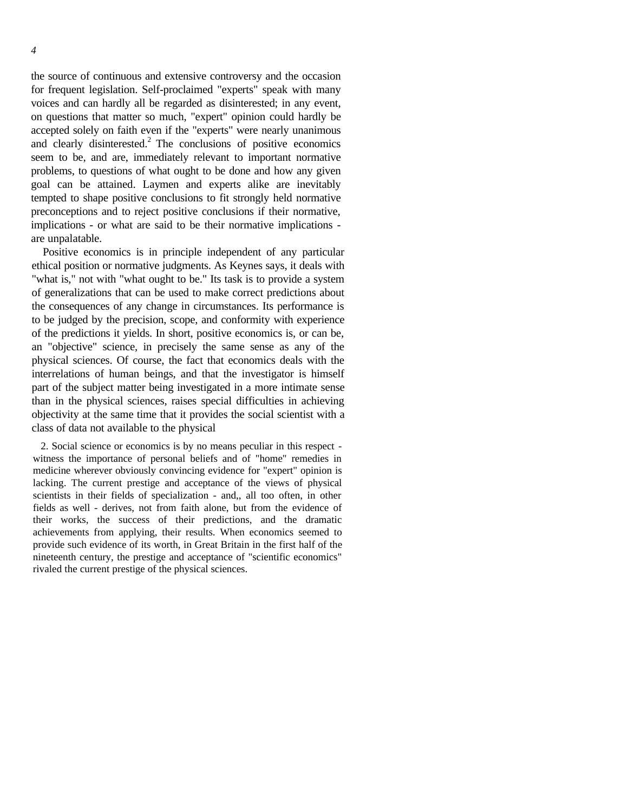the source of continuous and extensive controversy and the occasion for frequent legislation. Self-proclaimed "experts" speak with many voices and can hardly all be regarded as disinterested; in any event, on questions that matter so much, "expert" opinion could hardly be accepted solely on faith even if the "experts" were nearly unanimous and clearly disinterested.<sup>2</sup> The conclusions of positive economics seem to be, and are, immediately relevant to important normative problems, to questions of what ought to be done and how any given goal can be attained. Laymen and experts alike are inevitably tempted to shape positive conclusions to fit strongly held normative preconceptions and to reject positive conclusions if their normative, implications - or what are said to be their normative implications are unpalatable.

Positive economics is in principle independent of any particular ethical position or normative judgments. As Keynes says, it deals with "what is," not with "what ought to be." Its task is to provide a system of generalizations that can be used to make correct predictions about the consequences of any change in circumstances. Its performance is to be judged by the precision, scope, and conformity with experience of the predictions it yields. In short, positive economics is, or can be, an "objective" science, in precisely the same sense as any of the physical sciences. Of course, the fact that economics deals with the interrelations of human beings, and that the investigator is himself part of the subject matter being investigated in a more intimate sense than in the physical sciences, raises special difficulties in achieving objectivity at the same time that it provides the social scientist with a class of data not available to the physical

2. Social science or economics is by no means peculiar in this respect witness the importance of personal beliefs and of "home" remedies in medicine wherever obviously convincing evidence for "expert" opinion is lacking. The current prestige and acceptance of the views of physical scientists in their fields of specialization - and,, all too often, in other fields as well - derives, not from faith alone, but from the evidence of their works, the success of their predictions, and the dramatic achievements from applying, their results. When economics seemed to provide such evidence of its worth, in Great Britain in the first half of the nineteenth century, the prestige and acceptance of "scientific economics" rivaled the current prestige of the physical sciences.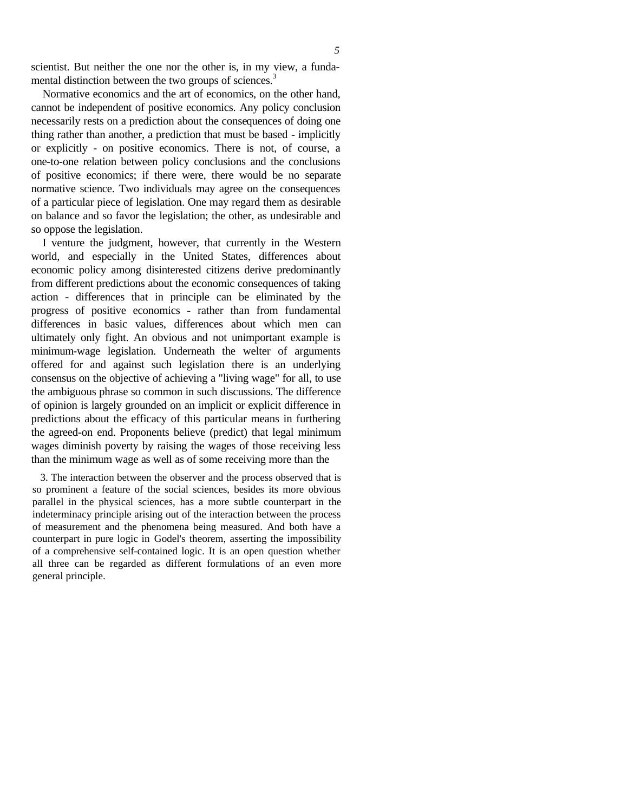scientist. But neither the one nor the other is, in my view, a fundamental distinction between the two groups of sciences.<sup>3</sup>

Normative economics and the art of economics, on the other hand, cannot be independent of positive economics. Any policy conclusion necessarily rests on a prediction about the consequences of doing one thing rather than another, a prediction that must be based - implicitly or explicitly - on positive economics. There is not, of course, a one-to-one relation between policy conclusions and the conclusions of positive economics; if there were, there would be no separate normative science. Two individuals may agree on the consequences of a particular piece of legislation. One may regard them as desirable on balance and so favor the legislation; the other, as undesirable and so oppose the legislation.

I venture the judgment, however, that currently in the Western world, and especially in the United States, differences about economic policy among disinterested citizens derive predominantly from different predictions about the economic consequences of taking action - differences that in principle can be eliminated by the progress of positive economics - rather than from fundamental differences in basic values, differences about which men can ultimately only fight. An obvious and not unimportant example is minimum-wage legislation. Underneath the welter of arguments offered for and against such legislation there is an underlying consensus on the objective of achieving a "living wage" for all, to use the ambiguous phrase so common in such discussions. The difference of opinion is largely grounded on an implicit or explicit difference in predictions about the efficacy of this particular means in furthering the agreed-on end. Proponents believe (predict) that legal minimum wages diminish poverty by raising the wages of those receiving less than the minimum wage as well as of some receiving more than the

3. The interaction between the observer and the process observed that is so prominent a feature of the social sciences, besides its more obvious parallel in the physical sciences, has a more subtle counterpart in the indeterminacy principle arising out of the interaction between the process of measurement and the phenomena being measured. And both have a counterpart in pure logic in Godel's theorem, asserting the impossibility of a comprehensive self-contained logic. It is an open question whether all three can be regarded as different formulations of an even more general principle.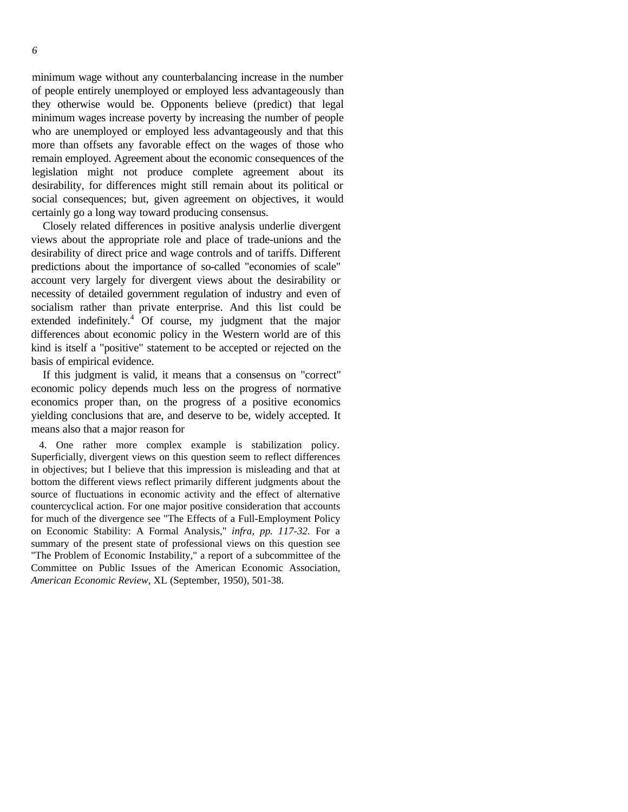minimum wage without any counterbalancing increase in the number of people entirely unemployed or employed less advantageously than they otherwise would be. Opponents believe (predict) that legal minimum wages increase poverty by increasing the number of people who are unemployed or employed less advantageously and that this more than offsets any favorable effect on the wages of those who remain employed. Agreement about the economic consequences of the legislation might not produce complete agreement about its desirability, for differences might still remain about its political or social consequences; but, given agreement on objectives, it would certainly go a long way toward producing consensus.

Closely related differences in positive analysis underlie divergent views about the appropriate role and place of trade-unions and the desirability of direct price and wage controls and of tariffs. Different predictions about the importance of so-called "economies of scale" account very largely for divergent views about the desirability or necessity of detailed government regulation of industry and even of socialism rather than private enterprise. And this list could be extended indefinitely.<sup>4</sup> Of course, my judgment that the major differences about economic policy in the Western world are of this kind is itself a "positive" statement to be accepted or rejected on the basis of empirical evidence.

If this judgment is valid, it means that a consensus on "correct" economic policy depends much less on the progress of normative economics proper than, on the progress of a positive economics yielding conclusions that are, and deserve to be, widely accepted. It means also that a major reason for

4. One rather more complex example is stabilization policy. Superficially, divergent views on this question seem to reflect differences in objectives; but I believe that this impression is misleading and that at bottom the different views reflect primarily different judgments about the source of fluctuations in economic activity and the effect of alternative countercyclical action. For one major positive consideration that accounts for much of the divergence see "The Effects of a Full-Employment Policy on Economic Stability: A Formal Analysis," *infra, pp. 117-32.* For a summary of the present state of professional views on this question see "The Problem of Economic Instability," a report of a subcommittee of the Committee on Public Issues of the American Economic Association, *American Economic Review,* XL (September, 1950), 501-38.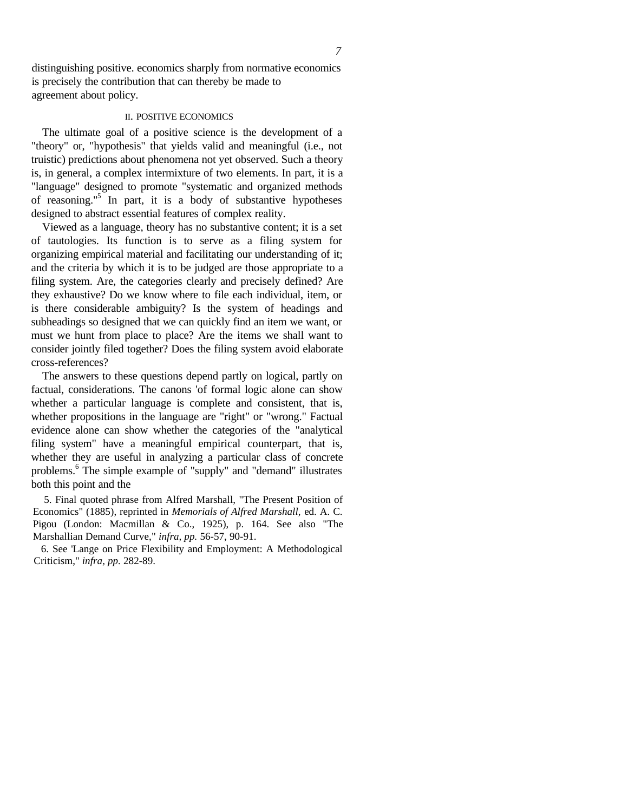distinguishing positive. economics sharply from normative economics is precisely the contribution that can thereby be made to agreement about policy.

#### II. POSITIVE ECONOMICS

The ultimate goal of a positive science is the development of a "theory" or, "hypothesis" that yields valid and meaningful (i.e., not truistic) predictions about phenomena not yet observed. Such a theory is, in general, a complex intermixture of two elements. In part, it is a "language" designed to promote "systematic and organized methods of reasoning."<sup>5</sup> In part, it is a body of substantive hypotheses designed to abstract essential features of complex reality.

Viewed as a language, theory has no substantive content; it is a set of tautologies. Its function is to serve as a filing system for organizing empirical material and facilitating our understanding of it; and the criteria by which it is to be judged are those appropriate to a filing system. Are, the categories clearly and precisely defined? Are they exhaustive? Do we know where to file each individual, item, or is there considerable ambiguity? Is the system of headings and subheadings so designed that we can quickly find an item we want, or must we hunt from place to place? Are the items we shall want to consider jointly filed together? Does the filing system avoid elaborate cross-references?

The answers to these questions depend partly on logical, partly on factual, considerations. The canons 'of formal logic alone can show whether a particular language is complete and consistent, that is, whether propositions in the language are "right" or "wrong." Factual evidence alone can show whether the categories of the "analytical filing system" have a meaningful empirical counterpart, that is, whether they are useful in analyzing a particular class of concrete problems.<sup>6</sup> The simple example of "supply" and "demand" illustrates both this point and the

5. Final quoted phrase from Alfred Marshall, "The Present Position of Economics" (1885), reprinted in *Memorials of Alfred Marshall,* ed. A. C. Pigou (London: Macmillan & Co., 1925), p. 164. See also "The Marshallian Demand Curve," *infra, pp.* 56-57, 90-91.

6. See 'Lange on Price Flexibility and Employment: A Methodological Criticism," *infra, pp.* 282-89.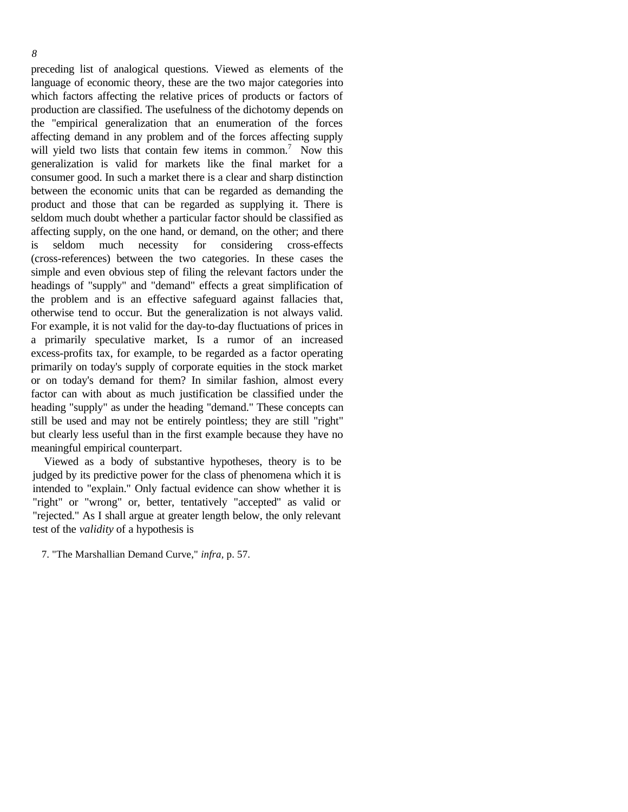preceding list of analogical questions. Viewed as elements of the language of economic theory, these are the two major categories into which factors affecting the relative prices of products or factors of production are classified. The usefulness of the dichotomy depends on the "empirical generalization that an enumeration of the forces affecting demand in any problem and of the forces affecting supply will yield two lists that contain few items in common.<sup>7</sup> Now this generalization is valid for markets like the final market for a consumer good. In such a market there is a clear and sharp distinction between the economic units that can be regarded as demanding the product and those that can be regarded as supplying it. There is seldom much doubt whether a particular factor should be classified as affecting supply, on the one hand, or demand, on the other; and there is seldom much necessity for considering cross-effects (cross-references) between the two categories. In these cases the simple and even obvious step of filing the relevant factors under the headings of "supply" and "demand" effects a great simplification of the problem and is an effective safeguard against fallacies that, otherwise tend to occur. But the generalization is not always valid. For example, it is not valid for the day-to-day fluctuations of prices in a primarily speculative market, Is a rumor of an increased excess-profits tax, for example, to be regarded as a factor operating primarily on today's supply of corporate equities in the stock market or on today's demand for them? In similar fashion, almost every factor can with about as much justification be classified under the heading "supply" as under the heading "demand." These concepts can still be used and may not be entirely pointless; they are still "right" but clearly less useful than in the first example because they have no meaningful empirical counterpart.

Viewed as a body of substantive hypotheses, theory is to be judged by its predictive power for the class of phenomena which it is intended to "explain." Only factual evidence can show whether it is "right" or "wrong" or, better, tentatively "accepted" as valid or "rejected." As I shall argue at greater length below, the only relevant test of the *validity* of a hypothesis is

7. "The Marshallian Demand Curve," *infra,* p. 57.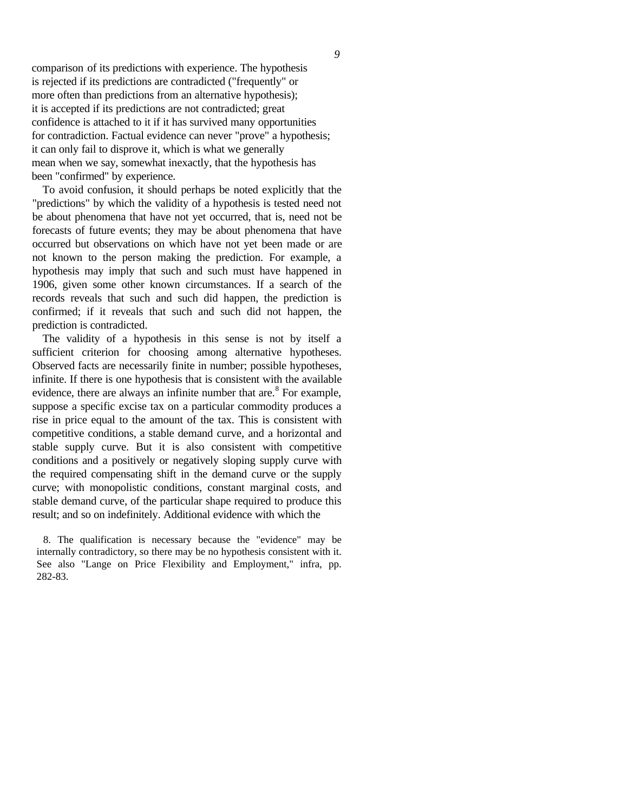comparison of its predictions with experience. The hypothesis is rejected if its predictions are contradicted ("frequently" or more often than predictions from an alternative hypothesis); it is accepted if its predictions are not contradicted; great confidence is attached to it if it has survived many opportunities for contradiction. Factual evidence can never "prove" a hypothesis; it can only fail to disprove it, which is what we generally mean when we say, somewhat inexactly, that the hypothesis has been "confirmed" by experience.

To avoid confusion, it should perhaps be noted explicitly that the "predictions" by which the validity of a hypothesis is tested need not be about phenomena that have not yet occurred, that is, need not be forecasts of future events; they may be about phenomena that have occurred but observations on which have not yet been made or are not known to the person making the prediction. For example, a hypothesis may imply that such and such must have happened in 1906, given some other known circumstances. If a search of the records reveals that such and such did happen, the prediction is confirmed; if it reveals that such and such did not happen, the prediction is contradicted.

The validity of a hypothesis in this sense is not by itself a sufficient criterion for choosing among alternative hypotheses. Observed facts are necessarily finite in number; possible hypotheses, infinite. If there is one hypothesis that is consistent with the available evidence, there are always an infinite number that are.<sup>8</sup> For example, suppose a specific excise tax on a particular commodity produces a rise in price equal to the amount of the tax. This is consistent with competitive conditions, a stable demand curve, and a horizontal and stable supply curve. But it is also consistent with competitive conditions and a positively or negatively sloping supply curve with the required compensating shift in the demand curve or the supply curve; with monopolistic conditions, constant marginal costs, and stable demand curve, of the particular shape required to produce this result; and so on indefinitely. Additional evidence with which the

8. The qualification is necessary because the "evidence" may be internally contradictory, so there may be no hypothesis consistent with it. See also "Lange on Price Flexibility and Employment," infra, pp. 282-83.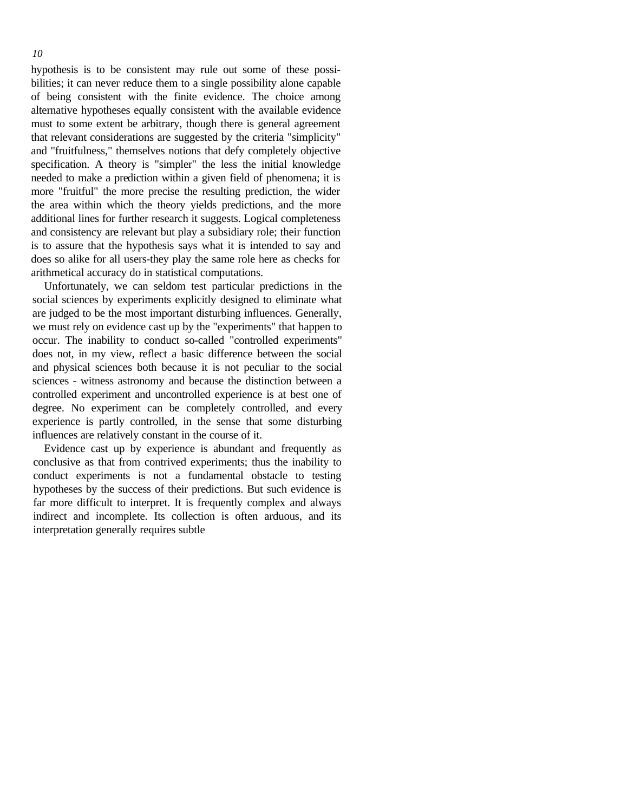hypothesis is to be consistent may rule out some of these possibilities; it can never reduce them to a single possibility alone capable of being consistent with the finite evidence. The choice among alternative hypotheses equally consistent with the available evidence must to some extent be arbitrary, though there is general agreement that relevant considerations are suggested by the criteria "simplicity" and "fruitfulness," themselves notions that defy completely objective specification. A theory is "simpler" the less the initial knowledge needed to make a prediction within a given field of phenomena; it is more "fruitful" the more precise the resulting prediction, the wider the area within which the theory yields predictions, and the more additional lines for further research it suggests. Logical completeness and consistency are relevant but play a subsidiary role; their function is to assure that the hypothesis says what it is intended to say and does so alike for all users-they play the same role here as checks for arithmetical accuracy do in statistical computations.

Unfortunately, we can seldom test particular predictions in the social sciences by experiments explicitly designed to eliminate what are judged to be the most important disturbing influences. Generally, we must rely on evidence cast up by the "experiments" that happen to occur. The inability to conduct so-called "controlled experiments" does not, in my view, reflect a basic difference between the social and physical sciences both because it is not peculiar to the social sciences - witness astronomy and because the distinction between a controlled experiment and uncontrolled experience is at best one of degree. No experiment can be completely controlled, and every experience is partly controlled, in the sense that some disturbing influences are relatively constant in the course of it.

Evidence cast up by experience is abundant and frequently as conclusive as that from contrived experiments; thus the inability to conduct experiments is not a fundamental obstacle to testing hypotheses by the success of their predictions. But such evidence is far more difficult to interpret. It is frequently complex and always indirect and incomplete. Its collection is often arduous, and its interpretation generally requires subtle

# *10*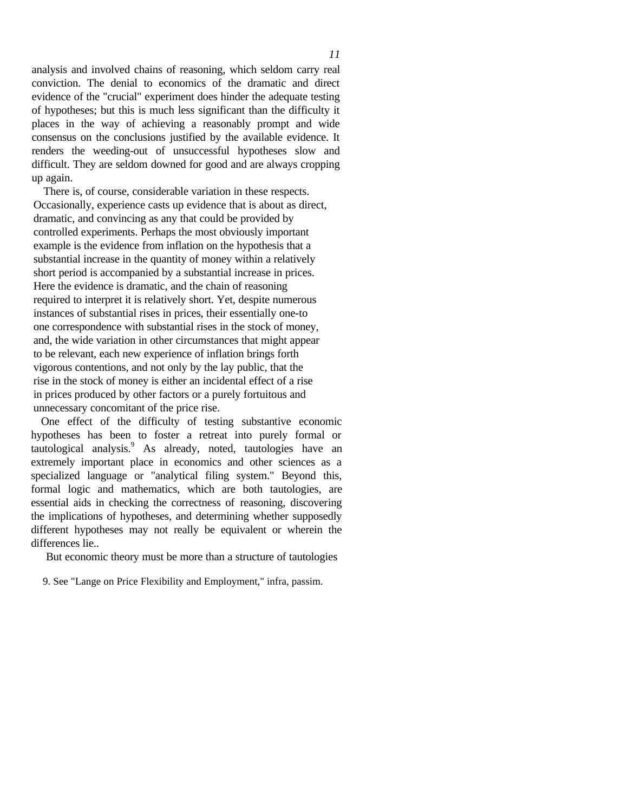analysis and involved chains of reasoning, which seldom carry real conviction. The denial to economics of the dramatic and direct evidence of the "crucial" experiment does hinder the adequate testing of hypotheses; but this is much less significant than the difficulty it places in the way of achieving a reasonably prompt and wide consensus on the conclusions justified by the available evidence. It renders the weeding-out of unsuccessful hypotheses slow and difficult. They are seldom downed for good and are always cropping up again.

There is, of course, considerable variation in these respects. Occasionally, experience casts up evidence that is about as direct, dramatic, and convincing as any that could be provided by controlled experiments. Perhaps the most obviously important example is the evidence from inflation on the hypothesis that a substantial increase in the quantity of money within a relatively short period is accompanied by a substantial increase in prices. Here the evidence is dramatic, and the chain of reasoning required to interpret it is relatively short. Yet, despite numerous instances of substantial rises in prices, their essentially one-to one correspondence with substantial rises in the stock of money, and, the wide variation in other circumstances that might appear to be relevant, each new experience of inflation brings forth vigorous contentions, and not only by the lay public, that the rise in the stock of money is either an incidental effect of a rise in prices produced by other factors or a purely fortuitous and unnecessary concomitant of the price rise.

One effect of the difficulty of testing substantive economic hypotheses has been to foster a retreat into purely formal or tautological analysis.<sup>9</sup> As already, noted, tautologies have an extremely important place in economics and other sciences as a specialized language or "analytical filing system." Beyond this, formal logic and mathematics, which are both tautologies, are essential aids in checking the correctness of reasoning, discovering the implications of hypotheses, and determining whether supposedly different hypotheses may not really be equivalent or wherein the differences lie..

But economic theory must be more than a structure of tautologies

9. See "Lange on Price Flexibility and Employment," infra, passim.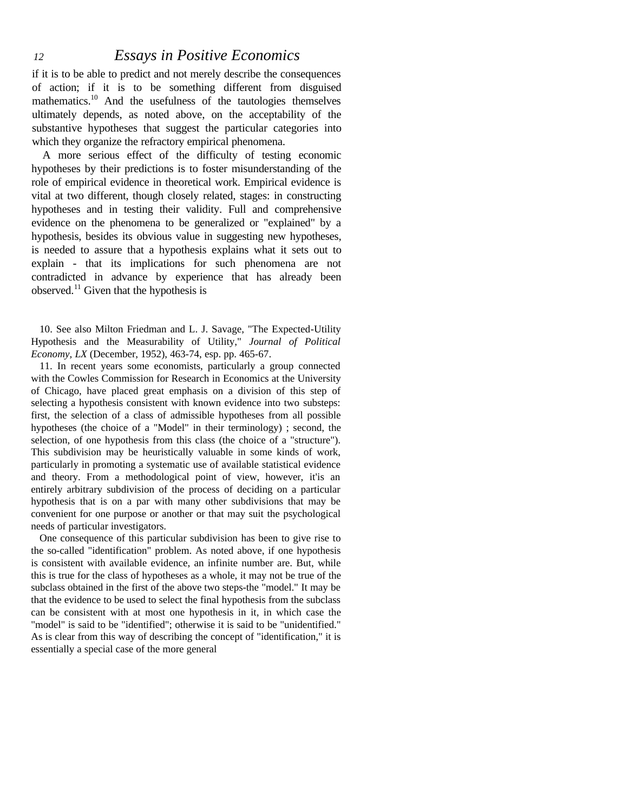if it is to be able to predict and not merely describe the consequences of action; if it is to be something different from disguised mathematics.<sup>10</sup> And the usefulness of the tautologies themselves ultimately depends, as noted above, on the acceptability of the substantive hypotheses that suggest the particular categories into which they organize the refractory empirical phenomena.

A more serious effect of the difficulty of testing economic hypotheses by their predictions is to foster misunderstanding of the role of empirical evidence in theoretical work. Empirical evidence is vital at two different, though closely related, stages: in constructing hypotheses and in testing their validity. Full and comprehensive evidence on the phenomena to be generalized or "explained" by a hypothesis, besides its obvious value in suggesting new hypotheses, is needed to assure that a hypothesis explains what it sets out to explain - that its implications for such phenomena are not contradicted in advance by experience that has already been observed.<sup>11</sup> Given that the hypothesis is

10. See also Milton Friedman and L. J. Savage, "The Expected-Utility Hypothesis and the Measurability of Utility," *Journal of Political Economy, LX* (December, 1952), 463-74, esp. pp. 465-67.

11. In recent years some economists, particularly a group connected with the Cowles Commission for Research in Economics at the University of Chicago, have placed great emphasis on a division of this step of selecting a hypothesis consistent with known evidence into two substeps: first, the selection of a class of admissible hypotheses from all possible hypotheses (the choice of a "Model" in their terminology) ; second, the selection, of one hypothesis from this class (the choice of a "structure"). This subdivision may be heuristically valuable in some kinds of work, particularly in promoting a systematic use of available statistical evidence and theory. From a methodological point of view, however, it'is an entirely arbitrary subdivision of the process of deciding on a particular hypothesis that is on a par with many other subdivisions that may be convenient for one purpose or another or that may suit the psychological needs of particular investigators.

One consequence of this particular subdivision has been to give rise to the so-called "identification" problem. As noted above, if one hypothesis is consistent with available evidence, an infinite number are. But, while this is true for the class of hypotheses as a whole, it may not be true of the subclass obtained in the first of the above two steps-the "model." It may be that the evidence to be used to select the final hypothesis from the subclass can be consistent with at most one hypothesis in it, in which case the "model" is said to be "identified"; otherwise it is said to be "unidentified." As is clear from this way of describing the concept of "identification," it is essentially a special case of the more general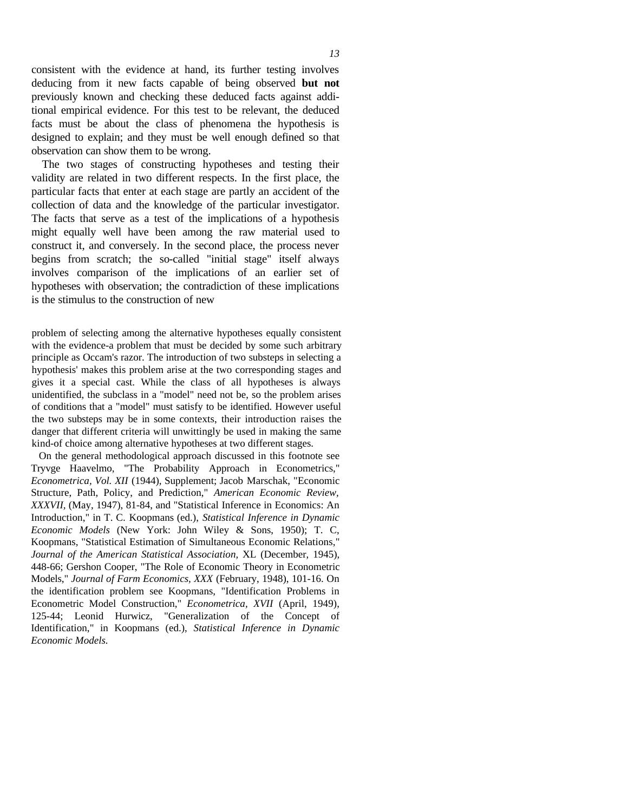consistent with the evidence at hand, its further testing involves deducing from it new facts capable of being observed **but not** previously known and checking these deduced facts against additional empirical evidence. For this test to be relevant, the deduced facts must be about the class of phenomena the hypothesis is designed to explain; and they must be well enough defined so that observation can show them to be wrong.

The two stages of constructing hypotheses and testing their validity are related in two different respects. In the first place, the particular facts that enter at each stage are partly an accident of the collection of data and the knowledge of the particular investigator. The facts that serve as a test of the implications of a hypothesis might equally well have been among the raw material used to construct it, and conversely. In the second place, the process never begins from scratch; the so-called "initial stage" itself always involves comparison of the implications of an earlier set of hypotheses with observation; the contradiction of these implications is the stimulus to the construction of new

problem of selecting among the alternative hypotheses equally consistent with the evidence-a problem that must be decided by some such arbitrary principle as Occam's razor. The introduction of two substeps in selecting a hypothesis' makes this problem arise at the two corresponding stages and gives it a special cast. While the class of all hypotheses is always unidentified, the subclass in a "model" need not be, so the problem arises of conditions that a "model" must satisfy to be identified. However useful the two substeps may be in some contexts, their introduction raises the danger that different criteria will unwittingly be used in making the same kind-of choice among alternative hypotheses at two different stages.

On the general methodological approach discussed in this footnote see Tryvge Haavelmo, "The Probability Approach in Econometrics," *Econometrica, Vol. XII* (1944), Supplement; Jacob Marschak, "Economic Structure, Path, Policy, and Prediction," *American Economic Review, XXXVII,* (May, 1947), 81-84, and "Statistical Inference in Economics: An Introduction," in T. C. Koopmans (ed.), *Statistical Inference in Dynamic Economic Models* (New York: John Wiley & Sons, 1950); T. C, Koopmans, "Statistical Estimation of Simultaneous Economic Relations," *Journal of the American Statistical Association,* XL (December, 1945), 448-66; Gershon Cooper, "The Role of Economic Theory in Econometric Models," *Journal of Farm Economics, XXX* (February, 1948), 101-16. On the identification problem see Koopmans, "Identification Problems in Econometric Model Construction," *Econometrica, XVII* (April, 1949), 125-44; Leonid Hurwicz, "Generalization of the Concept of Identification," in Koopmans (ed.), *Statistical Inference in Dynamic Economic Models.*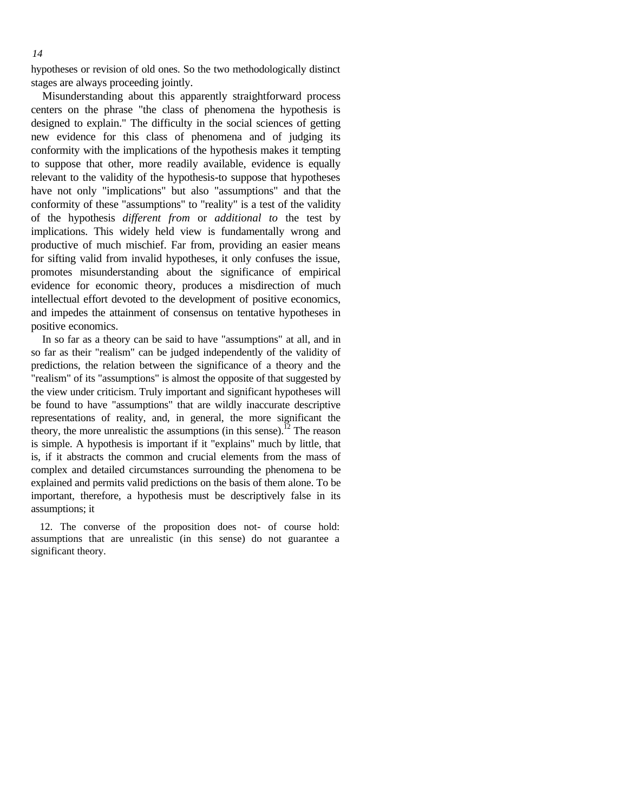hypotheses or revision of old ones. So the two methodologically distinct stages are always proceeding jointly.

Misunderstanding about this apparently straightforward process centers on the phrase "the class of phenomena the hypothesis is designed to explain." The difficulty in the social sciences of getting new evidence for this class of phenomena and of judging its conformity with the implications of the hypothesis makes it tempting to suppose that other, more readily available, evidence is equally relevant to the validity of the hypothesis-to suppose that hypotheses have not only "implications" but also "assumptions" and that the conformity of these "assumptions" to "reality" is a test of the validity of the hypothesis *different from* or *additional to* the test by implications. This widely held view is fundamentally wrong and productive of much mischief. Far from, providing an easier means for sifting valid from invalid hypotheses, it only confuses the issue, promotes misunderstanding about the significance of empirical evidence for economic theory, produces a misdirection of much intellectual effort devoted to the development of positive economics, and impedes the attainment of consensus on tentative hypotheses in positive economics.

In so far as a theory can be said to have "assumptions" at all, and in so far as their "realism" can be judged independently of the validity of predictions, the relation between the significance of a theory and the "realism" of its "assumptions" is almost the opposite of that suggested by the view under criticism. Truly important and significant hypotheses will be found to have "assumptions" that are wildly inaccurate descriptive representations of reality, and, in general, the more significant the theory, the more unrealistic the assumptions (in this sense).<sup>12</sup> The reason is simple. A hypothesis is important if it "explains" much by little, that is, if it abstracts the common and crucial elements from the mass of complex and detailed circumstances surrounding the phenomena to be explained and permits valid predictions on the basis of them alone. To be important, therefore, a hypothesis must be descriptively false in its assumptions; it

12. The converse of the proposition does not- of course hold: assumptions that are unrealistic (in this sense) do not guarantee a significant theory.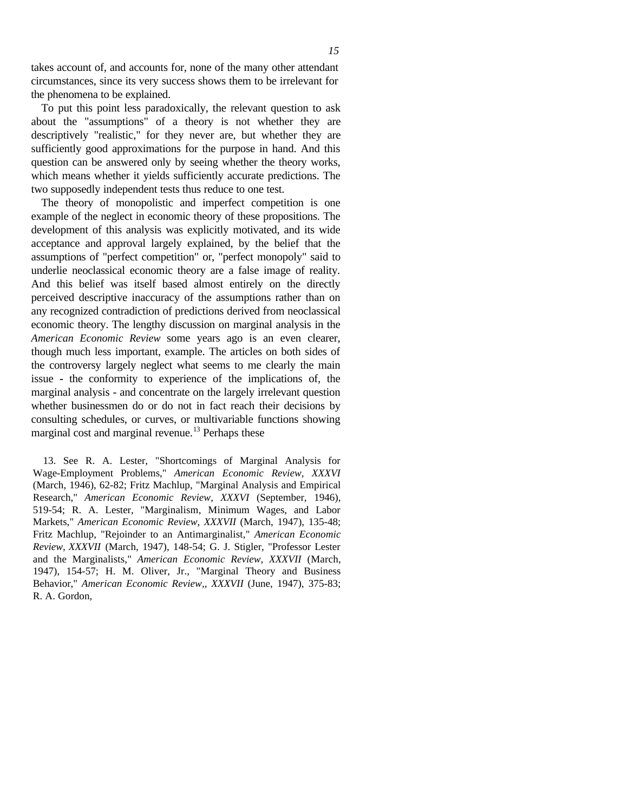takes account of, and accounts for, none of the many other attendant circumstances, since its very success shows them to be irrelevant for the phenomena to be explained.

To put this point less paradoxically, the relevant question to ask about the "assumptions" of a theory is not whether they are descriptively "realistic," for they never are, but whether they are sufficiently good approximations for the purpose in hand. And this question can be answered only by seeing whether the theory works, which means whether it yields sufficiently accurate predictions. The two supposedly independent tests thus reduce to one test.

The theory of monopolistic and imperfect competition is one example of the neglect in economic theory of these propositions. The development of this analysis was explicitly motivated, and its wide acceptance and approval largely explained, by the belief that the assumptions of "perfect competition" or, "perfect monopoly" said to underlie neoclassical economic theory are a false image of reality. And this belief was itself based almost entirely on the directly perceived descriptive inaccuracy of the assumptions rather than on any recognized contradiction of predictions derived from neoclassical economic theory. The lengthy discussion on marginal analysis in the *American Economic Review* some years ago is an even clearer, though much less important, example. The articles on both sides of the controversy largely neglect what seems to me clearly the main issue **-** the conformity to experience of the implications of, the marginal analysis - and concentrate on the largely irrelevant question whether businessmen do or do not in fact reach their decisions by consulting schedules, or curves, or multivariable functions showing marginal cost and marginal revenue.<sup>13</sup> Perhaps these

13. See R. A. Lester, "Shortcomings of Marginal Analysis for Wage-Employment Problems," *American Economic Review, XXXVI* (March, 1946), 62-82; Fritz Machlup, "Marginal Analysis and Empirical Research," *American Economic Review, XXXVI* (September, 1946), 519-54; R. A. Lester, "Marginalism, Minimum Wages, and Labor Markets," *American Economic Review, XXXVII* (March, 1947), 135-48; Fritz Machlup, "Rejoinder to an Antimarginalist," *American Economic Review, XXXVII* (March, 1947), 148-54; G. J. Stigler, "Professor Lester and the Marginalists," *American Economic Review, XXXVII* (March, 1947), 154-57; H. M. Oliver, Jr., "Marginal Theory and Business Behavior," *American Economic Review,, XXXVII* (June, 1947), 375-83; R. A. Gordon,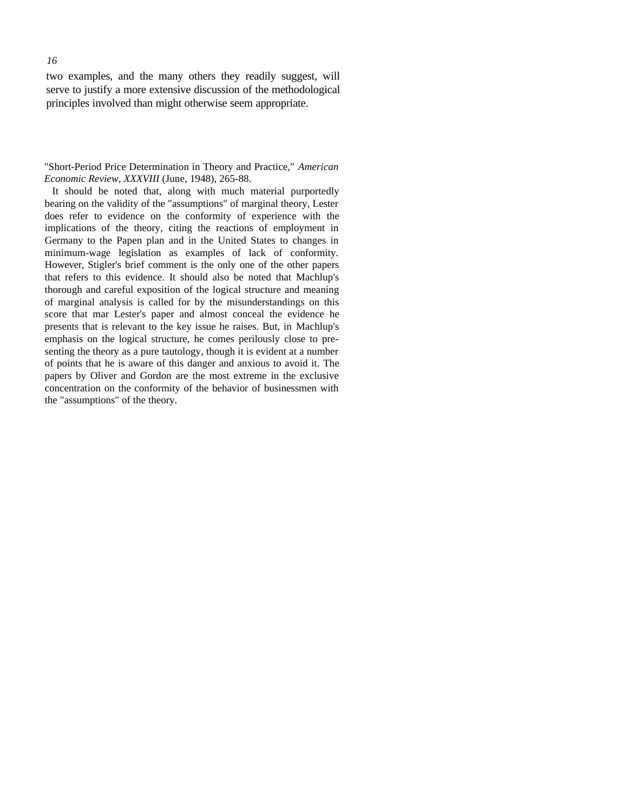two examples, and the many others they readily suggest, will serve to justify a more extensive discussion of the methodological principles involved than might otherwise seem appropriate.

"Short-Period Price Determination in Theory and Practice," *American Economic Review, XXXVIII* (June, 1948), 265-88.

It should be noted that, along with much material purportedly bearing on the validity of the "assumptions" of marginal theory, Lester does refer to evidence on the conformity of experience with the implications of the theory, citing the reactions of employment in Germany to the Papen plan and in the United States to changes in minimum-wage legislation as examples of lack of conformity. However, Stigler's brief comment is the only one of the other papers that refers to this evidence. It should also be noted that Machlup's thorough and careful exposition of the logical structure and meaning of marginal analysis is called for by the misunderstandings on this score that mar Lester's paper and almost conceal the evidence he presents that is relevant to the key issue he raises. But, in Machlup's emphasis on the logical structure, he comes perilously close to presenting the theory as a pure tautology, though it is evident at a number of points that he is aware of this danger and anxious to avoid it. The papers by Oliver and Gordon are the most extreme in the exclusive concentration on the conformity of the behavior of businessmen with the "assumptions" of the theory.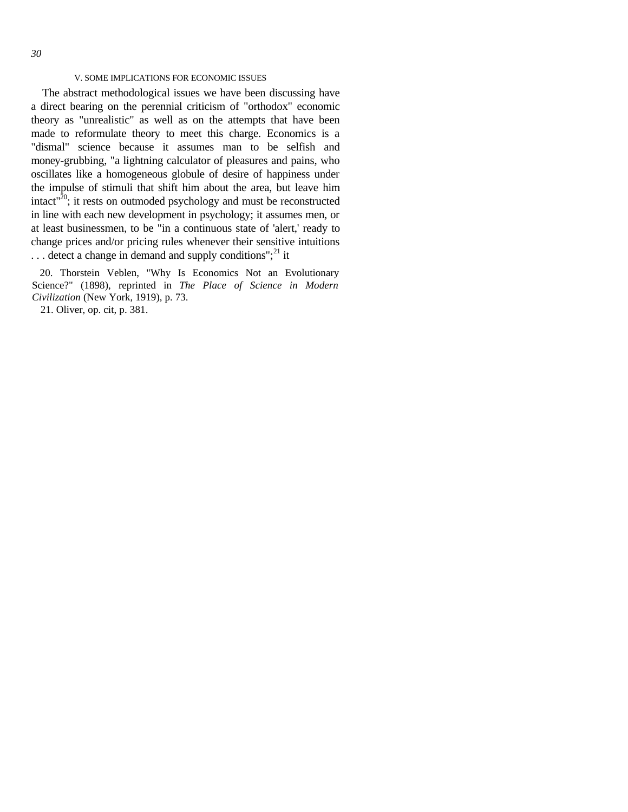### V. SOME IMPLICATIONS FOR ECONOMIC ISSUES

The abstract methodological issues we have been discussing have a direct bearing on the perennial criticism of "orthodox" economic theory as "unrealistic" as well as on the attempts that have been made to reformulate theory to meet this charge. Economics is a "dismal" science because it assumes man to be selfish and money-grubbing, "a lightning calculator of pleasures and pains, who oscillates like a homogeneous globule of desire of happiness under the impulse of stimuli that shift him about the area, but leave him intact" $^{20}$ ; it rests on outmoded psychology and must be reconstructed in line with each new development in psychology; it assumes men, or at least businessmen, to be "in a continuous state of 'alert,' ready to change prices and/or pricing rules whenever their sensitive intuitions  $\ldots$  detect a change in demand and supply conditions";<sup>21</sup> it

20. Thorstein Veblen, "Why Is Economics Not an Evolutionary Science?" (1898), reprinted in *The Place of Science in Modern Civilization* (New York, 1919), p. 73.

21. Oliver, op. cit, p. 381.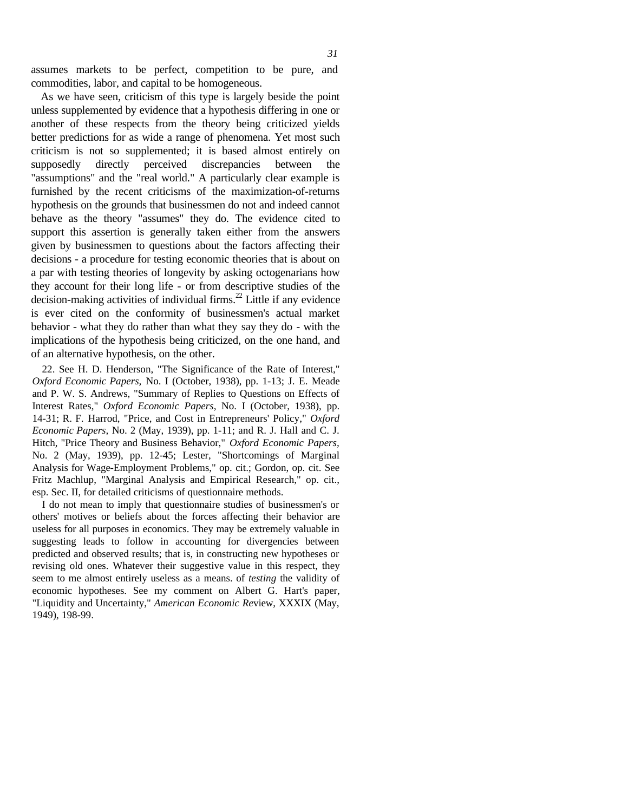assumes markets to be perfect, competition to be pure, and commodities, labor, and capital to be homogeneous.

As we have seen, criticism of this type is largely beside the point unless supplemented by evidence that a hypothesis differing in one or another of these respects from the theory being criticized yields better predictions for as wide a range of phenomena. Yet most such criticism is not so supplemented; it is based almost entirely on supposedly directly perceived discrepancies between the "assumptions" and the "real world." A particularly clear example is furnished by the recent criticisms of the maximization-of-returns hypothesis on the grounds that businessmen do not and indeed cannot behave as the theory "assumes" they do. The evidence cited to support this assertion is generally taken either from the answers given by businessmen to questions about the factors affecting their decisions - a procedure for testing economic theories that is about on a par with testing theories of longevity by asking octogenarians how they account for their long life - or from descriptive studies of the decision-making activities of individual firms.<sup>22</sup> Little if any evidence is ever cited on the conformity of businessmen's actual market behavior - what they do rather than what they say they do - with the implications of the hypothesis being criticized, on the one hand, and of an alternative hypothesis, on the other.

22. See H. D. Henderson, "The Significance of the Rate of Interest," *Oxford Economic Papers,* No. I (October, 1938), pp. 1-13; J. E. Meade and P. W. S. Andrews, "Summary of Replies to Questions on Effects of Interest Rates," *Oxford Economic Papers,* No. I (October, 1938), pp. 14-31; R. F. Harrod, "Price, and Cost in Entrepreneurs' Policy," *Oxford Economic Papers,* No. 2 (May, 1939), pp. 1-11; and R. J. Hall and C. J. Hitch, "Price Theory and Business Behavior," *Oxford Economic Papers,* No. 2 (May, 1939), pp. 12-45; Lester, "Shortcomings of Marginal Analysis for Wage-Employment Problems," op. cit.; Gordon, op. cit. See Fritz Machlup, "Marginal Analysis and Empirical Research," op. cit., esp. Sec. II, for detailed criticisms of questionnaire methods.

I do not mean to imply that questionnaire studies of businessmen's or others' motives or beliefs about the forces affecting their behavior are useless for all purposes in economics. They may be extremely valuable in suggesting leads to follow in accounting for divergencies between predicted and observed results; that is, in constructing new hypotheses or revising old ones. Whatever their suggestive value in this respect, they seem to me almost entirely useless as a means. of *testing* the validity of economic hypotheses. See my comment on Albert G. Hart's paper, "Liquidity and Uncertainty," *American Economic Re*view, XXXIX (May, 1949), 198-99.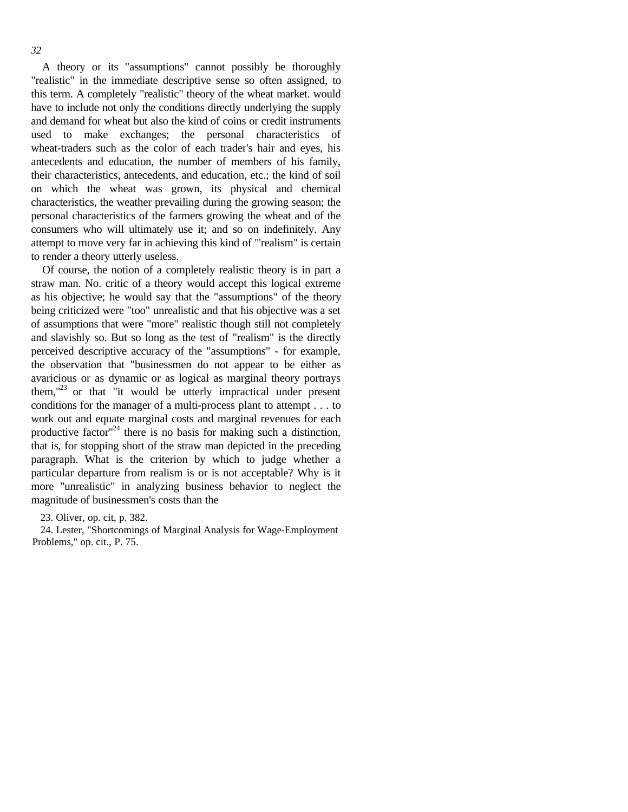A theory or its "assumptions" cannot possibly be thoroughly "realistic" in the immediate descriptive sense so often assigned, to this term. A completely "realistic" theory of the wheat market. would have to include not only the conditions directly underlying the supply and demand for wheat but also the kind of coins or credit instruments used to make exchanges; the personal characteristics of wheat-traders such as the color of each trader's hair and eyes, his antecedents and education, the number of members of his family, their characteristics, antecedents, and education, etc.; the kind of soil on which the wheat was grown, its physical and chemical characteristics, the weather prevailing during the growing season; the personal characteristics of the farmers growing the wheat and of the consumers who will ultimately use it; and so on indefinitely. Any attempt to move very far in achieving this kind of "'realism" is certain to render a theory utterly useless.

Of course, the notion of a completely realistic theory is in part a straw man. No. critic of a theory would accept this logical extreme as his objective; he would say that the "assumptions" of the theory being criticized were "too" unrealistic and that his objective was a set of assumptions that were "more" realistic though still not completely and slavishly so. But so long as the test of "realism" is the directly perceived descriptive accuracy of the "assumptions" - for example, the observation that "businessmen do not appear to be either as avaricious or as dynamic or as logical as marginal theory portrays them," $^{23}$  or that "it would be utterly impractical under present conditions for the manager of a multi-process plant to attempt . . . to work out and equate marginal costs and marginal revenues for each productive factor<sup> $124$ </sup> there is no basis for making such a distinction, that is, for stopping short of the straw man depicted in the preceding paragraph. What is the criterion by which to judge whether a particular departure from realism is or is not acceptable? Why is it more "unrealistic" in analyzing business behavior to neglect the magnitude of businessmen's costs than the

23. Oliver, op. cit, p. 382.

24. Lester, "Shortcomings of Marginal Analysis for Wage-Employment Problems," op. cit., P. 75.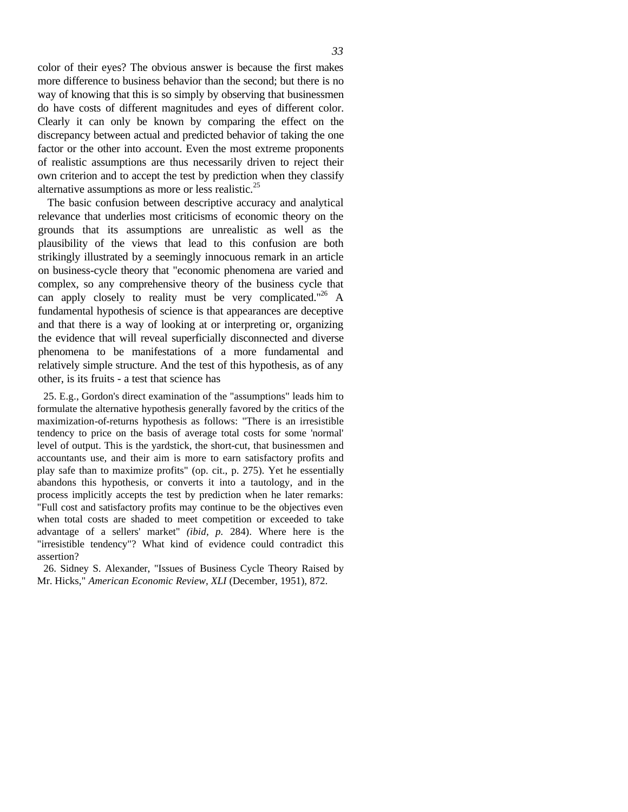color of their eyes? The obvious answer is because the first makes more difference to business behavior than the second; but there is no way of knowing that this is so simply by observing that businessmen do have costs of different magnitudes and eyes of different color. Clearly it can only be known by comparing the effect on the discrepancy between actual and predicted behavior of taking the one factor or the other into account. Even the most extreme proponents of realistic assumptions are thus necessarily driven to reject their own criterion and to accept the test by prediction when they classify alternative assumptions as more or less realistic.<sup>25</sup>

The basic confusion between descriptive accuracy and analytical relevance that underlies most criticisms of economic theory on the grounds that its assumptions are unrealistic as well as the plausibility of the views that lead to this confusion are both strikingly illustrated by a seemingly innocuous remark in an article on business-cycle theory that "economic phenomena are varied and complex, so any comprehensive theory of the business cycle that can apply closely to reality must be very complicated."<sup>26</sup> A fundamental hypothesis of science is that appearances are deceptive and that there is a way of looking at or interpreting or, organizing the evidence that will reveal superficially disconnected and diverse phenomena to be manifestations of a more fundamental and relatively simple structure. And the test of this hypothesis, as of any other, is its fruits - a test that science has

25. E.g., Gordon's direct examination of the "assumptions" leads him to formulate the alternative hypothesis generally favored by the critics of the maximization-of-returns hypothesis as follows: "There is an irresistible tendency to price on the basis of average total costs for some 'normal' level of output. This is the yardstick, the short-cut, that businessmen and accountants use, and their aim is more to earn satisfactory profits and play safe than to maximize profits" (op. cit., p. 275). Yet he essentially abandons this hypothesis, or converts it into a tautology, and in the process implicitly accepts the test by prediction when he later remarks: "Full cost and satisfactory profits may continue to be the objectives even when total costs are shaded to meet competition or exceeded to take advantage of a sellers' market" *(ibid, p.* 284). Where here is the "irresistible tendency"? What kind of evidence could contradict this assertion?

26. Sidney S. Alexander, "Issues of Business Cycle Theory Raised by Mr. Hicks," *American Economic Review, XLI* (December, 1951), 872.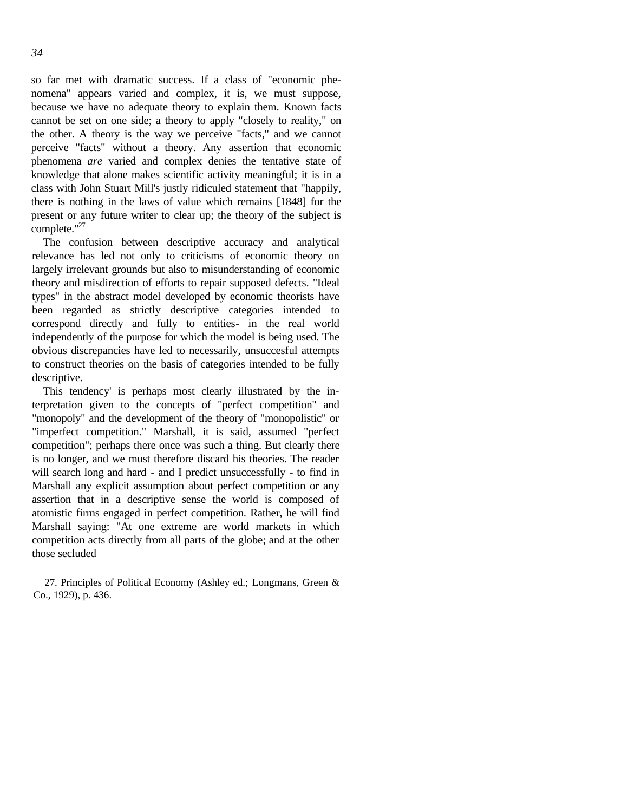so far met with dramatic success. If a class of "economic phenomena" appears varied and complex, it is, we must suppose, because we have no adequate theory to explain them. Known facts cannot be set on one side; a theory to apply "closely to reality," on the other. A theory is the way we perceive "facts," and we cannot perceive "facts" without a theory. Any assertion that economic phenomena *are* varied and complex denies the tentative state of knowledge that alone makes scientific activity meaningful; it is in a class with John Stuart Mill's justly ridiculed statement that "happily, there is nothing in the laws of value which remains [1848] for the present or any future writer to clear up; the theory of the subject is complete. $"^{27}$ 

The confusion between descriptive accuracy and analytical relevance has led not only to criticisms of economic theory on largely irrelevant grounds but also to misunderstanding of economic theory and misdirection of efforts to repair supposed defects. "Ideal types" in the abstract model developed by economic theorists have been regarded as strictly descriptive categories intended to correspond directly and fully to entities- in the real world independently of the purpose for which the model is being used. The obvious discrepancies have led to necessarily, unsuccesful attempts to construct theories on the basis of categories intended to be fully descriptive.

This tendency' is perhaps most clearly illustrated by the interpretation given to the concepts of "perfect competition" and "monopoly" and the development of the theory of "monopolistic" or "imperfect competition." Marshall, it is said, assumed "perfect competition"; perhaps there once was such a thing. But clearly there is no longer, and we must therefore discard his theories. The reader will search long and hard - and I predict unsuccessfully - to find in Marshall any explicit assumption about perfect competition or any assertion that in a descriptive sense the world is composed of atomistic firms engaged in perfect competition. Rather, he will find Marshall saying: "At one extreme are world markets in which competition acts directly from all parts of the globe; and at the other those secluded

27. Principles of Political Economy (Ashley ed.; Longmans, Green & Co., 1929), p. 436.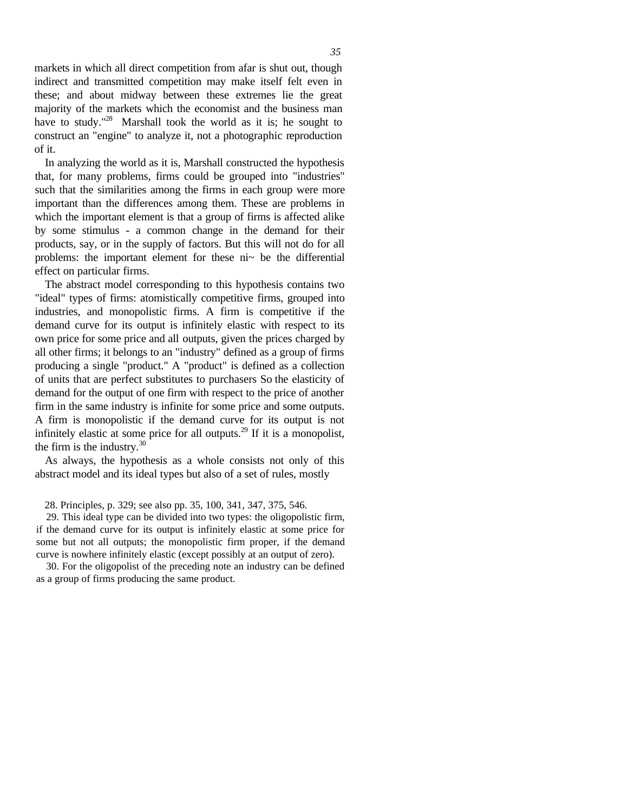markets in which all direct competition from afar is shut out, though indirect and transmitted competition may make itself felt even in these; and about midway between these extremes lie the great majority of the markets which the economist and the business man have to study." $^{28}$  Marshall took the world as it is; he sought to construct an "engine" to analyze it, not a photographic reproduction of it.

In analyzing the world as it is, Marshall constructed the hypothesis that, for many problems, firms could be grouped into "industries" such that the similarities among the firms in each group were more important than the differences among them. These are problems in which the important element is that a group of firms is affected alike by some stimulus - a common change in the demand for their products, say, or in the supply of factors. But this will not do for all problems: the important element for these ni~ be the differential effect on particular firms.

The abstract model corresponding to this hypothesis contains two "ideal" types of firms: atomistically competitive firms, grouped into industries, and monopolistic firms. A firm is competitive if the demand curve for its output is infinitely elastic with respect to its own price for some price and all outputs, given the prices charged by all other firms; it belongs to an "industry" defined as a group of firms producing a single "product." A "product" is defined as a collection of units that are perfect substitutes to purchasers So the elasticity of demand for the output of one firm with respect to the price of another firm in the same industry is infinite for some price and some outputs. A firm is monopolistic if the demand curve for its output is not infinitely elastic at some price for all outputs.<sup>29</sup> If it is a monopolist, the firm is the industry.<sup>30</sup>

As always, the hypothesis as a whole consists not only of this abstract model and its ideal types but also of a set of rules, mostly

28. Principles, p. 329; see also pp. 35, 100, 341, 347, 375, 546.

29. This ideal type can be divided into two types: the oligopolistic firm, if the demand curve for its output is infinitely elastic at some price for some but not all outputs; the monopolistic firm proper, if the demand curve is nowhere infinitely elastic (except possibly at an output of zero).

30. For the oligopolist of the preceding note an industry can be defined as a group of firms producing the same product.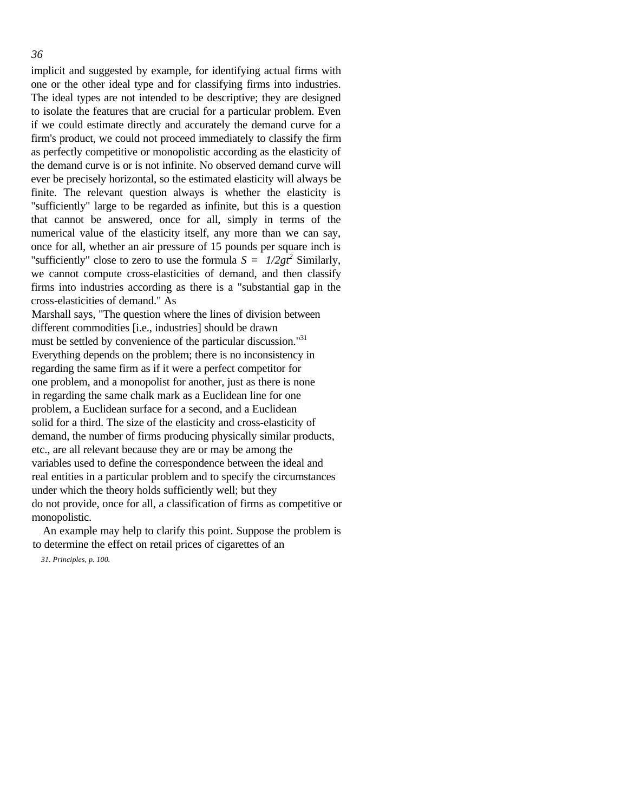implicit and suggested by example, for identifying actual firms with one or the other ideal type and for classifying firms into industries. The ideal types are not intended to be descriptive; they are designed to isolate the features that are crucial for a particular problem. Even if we could estimate directly and accurately the demand curve for a firm's product, we could not proceed immediately to classify the firm as perfectly competitive or monopolistic according as the elasticity of the demand curve is or is not infinite. No observed demand curve will ever be precisely horizontal, so the estimated elasticity will always be finite. The relevant question always is whether the elasticity is "sufficiently" large to be regarded as infinite, but this is a question that cannot be answered, once for all, simply in terms of the numerical value of the elasticity itself, any more than we can say, once for all, whether an air pressure of 15 pounds per square inch is "sufficiently" close to zero to use the formula  $S = 1/2gt^2$  Similarly, we cannot compute cross-elasticities of demand, and then classify firms into industries according as there is a "substantial gap in the cross-elasticities of demand." As

Marshall says, "The question where the lines of division between different commodities [i.e., industries] should be drawn must be settled by convenience of the particular discussion."<sup>31</sup> Everything depends on the problem; there is no inconsistency in regarding the same firm as if it were a perfect competitor for one problem, and a monopolist for another, just as there is none in regarding the same chalk mark as a Euclidean line for one problem, a Euclidean surface for a second, and a Euclidean solid for a third. The size of the elasticity and cross-elasticity of demand, the number of firms producing physically similar products, etc., are all relevant because they are or may be among the variables used to define the correspondence between the ideal and real entities in a particular problem and to specify the circumstances under which the theory holds sufficiently well; but they do not provide, once for all, a classification of firms as competitive or monopolistic.

An example may help to clarify this point. Suppose the problem is to determine the effect on retail prices of cigarettes of an

*31. Principles, p. 100.*

## *36*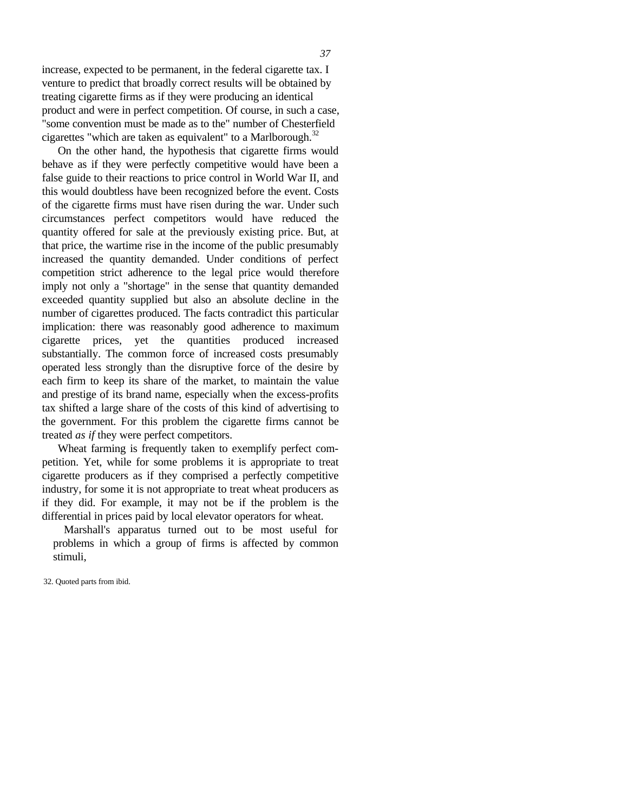increase, expected to be permanent, in the federal cigarette tax. I venture to predict that broadly correct results will be obtained by treating cigarette firms as if they were producing an identical product and were in perfect competition. Of course, in such a case, "some convention must be made as to the" number of Chesterfield cigarettes "which are taken as equivalent" to a Marlborough.<sup>32</sup>

On the other hand, the hypothesis that cigarette firms would behave as if they were perfectly competitive would have been a false guide to their reactions to price control in World War II, and this would doubtless have been recognized before the event. Costs of the cigarette firms must have risen during the war. Under such circumstances perfect competitors would have reduced the quantity offered for sale at the previously existing price. But, at that price, the wartime rise in the income of the public presumably increased the quantity demanded. Under conditions of perfect competition strict adherence to the legal price would therefore imply not only a "shortage" in the sense that quantity demanded exceeded quantity supplied but also an absolute decline in the number of cigarettes produced. The facts contradict this particular implication: there was reasonably good adherence to maximum cigarette prices, yet the quantities produced increased substantially. The common force of increased costs presumably operated less strongly than the disruptive force of the desire by each firm to keep its share of the market, to maintain the value and prestige of its brand name, especially when the excess-profits tax shifted a large share of the costs of this kind of advertising to the government. For this problem the cigarette firms cannot be treated *as if* they were perfect competitors.

Wheat farming is frequently taken to exemplify perfect competition. Yet, while for some problems it is appropriate to treat cigarette producers as if they comprised a perfectly competitive industry, for some it is not appropriate to treat wheat producers as if they did. For example, it may not be if the problem is the differential in prices paid by local elevator operators for wheat.

Marshall's apparatus turned out to be most useful for problems in which a group of firms is affected by common stimuli,

32. Quoted parts from ibid.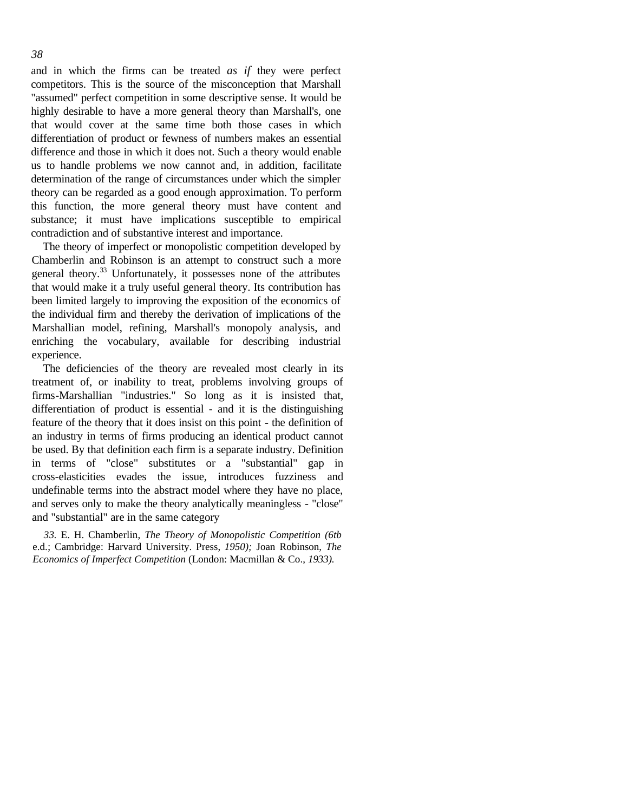and in which the firms can be treated *as if* they were perfect competitors. This is the source of the misconception that Marshall "assumed" perfect competition in some descriptive sense. It would be highly desirable to have a more general theory than Marshall's, one that would cover at the same time both those cases in which differentiation of product or fewness of numbers makes an essential difference and those in which it does not. Such a theory would enable us to handle problems we now cannot and, in addition, facilitate determination of the range of circumstances under which the simpler theory can be regarded as a good enough approximation. To perform this function, the more general theory must have content and substance; it must have implications susceptible to empirical contradiction and of substantive interest and importance.

The theory of imperfect or monopolistic competition developed by Chamberlin and Robinson is an attempt to construct such a more general theory.<sup>33</sup> Unfortunately, it possesses none of the attributes that would make it a truly useful general theory. Its contribution has been limited largely to improving the exposition of the economics of the individual firm and thereby the derivation of implications of the Marshallian model, refining, Marshall's monopoly analysis, and enriching the vocabulary, available for describing industrial experience.

The deficiencies of the theory are revealed most clearly in its treatment of, or inability to treat, problems involving groups of firms-Marshallian "industries." So long as it is insisted that, differentiation of product is essential - and it is the distinguishing feature of the theory that it does insist on this point - the definition of an industry in terms of firms producing an identical product cannot be used. By that definition each firm is a separate industry. Definition in terms of "close" substitutes or a "substantial" gap in cross-elasticities evades the issue, introduces fuzziness and undefinable terms into the abstract model where they have no place, and serves only to make the theory analytically meaningless - "close" and "substantial" are in the same category

*33.* E. H. Chamberlin, *The Theory of Monopolistic Competition (6tb* e.d.; Cambridge: Harvard University. Press, *1950);* Joan Robinson, *The Economics of Imperfect Competition* (London: Macmillan & Co., *1933).*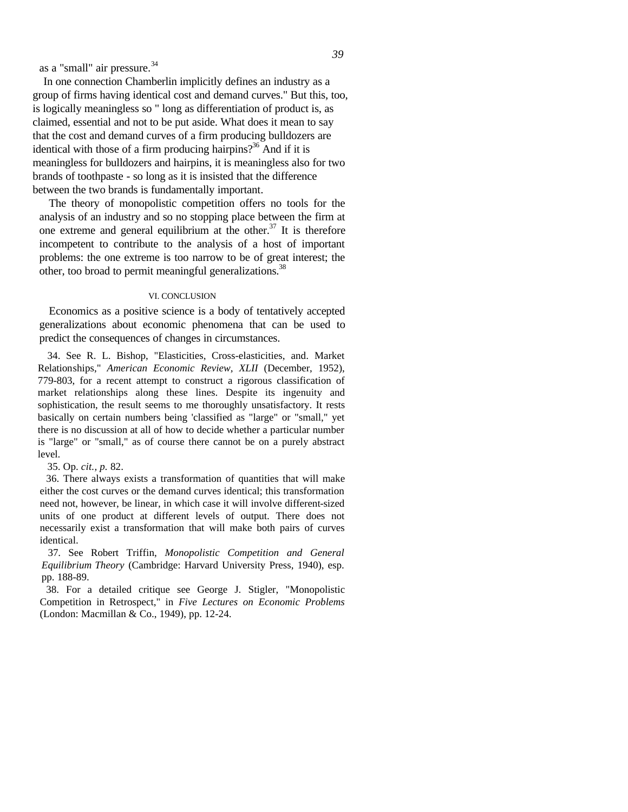as a "small" air pressure.<sup>34</sup>

In one connection Chamberlin implicitly defines an industry as a group of firms having identical cost and demand curves." But this, too, is logically meaningless so " long as differentiation of product is, as claimed, essential and not to be put aside. What does it mean to say that the cost and demand curves of a firm producing bulldozers are identical with those of a firm producing hairpins?<sup>36</sup> And if it is meaningless for bulldozers and hairpins, it is meaningless also for two brands of toothpaste - so long as it is insisted that the difference between the two brands is fundamentally important.

The theory of monopolistic competition offers no tools for the analysis of an industry and so no stopping place between the firm at one extreme and general equilibrium at the other.<sup>37</sup> It is therefore incompetent to contribute to the analysis of a host of important problems: the one extreme is too narrow to be of great interest; the other, too broad to permit meaningful generalizations.<sup>38</sup>

### VI. CONCLUSION

Economics as a positive science is a body of tentatively accepted generalizations about economic phenomena that can be used to predict the consequences of changes in circumstances.

34. See R. L. Bishop, "Elasticities, Cross-elasticities, and. Market Relationships," *American Economic Review, XLII* (December, 1952), 779-803, for a recent attempt to construct a rigorous classification of market relationships along these lines. Despite its ingenuity and sophistication, the result seems to me thoroughly unsatisfactory. It rests basically on certain numbers being 'classified as "large" or "small," yet there is no discussion at all of how to decide whether a particular number is "large" or "small," as of course there cannot be on a purely abstract level.

35. Op. *cit., p.* 82.

36. There always exists a transformation of quantities that will make either the cost curves or the demand curves identical; this transformation need not, however, be linear, in which case it will involve different-sized units of one product at different levels of output. There does not necessarily exist a transformation that will make both pairs of curves identical.

37. See Robert Triffin, *Monopolistic Competition and General Equilibrium Theory* (Cambridge: Harvard University Press, 1940), esp. pp. 188-89.

38. For a detailed critique see George J. Stigler, "Monopolistic Competition in Retrospect," in *Five Lectures on Economic Problems* (London: Macmillan & Co., 1949), pp. 12-24.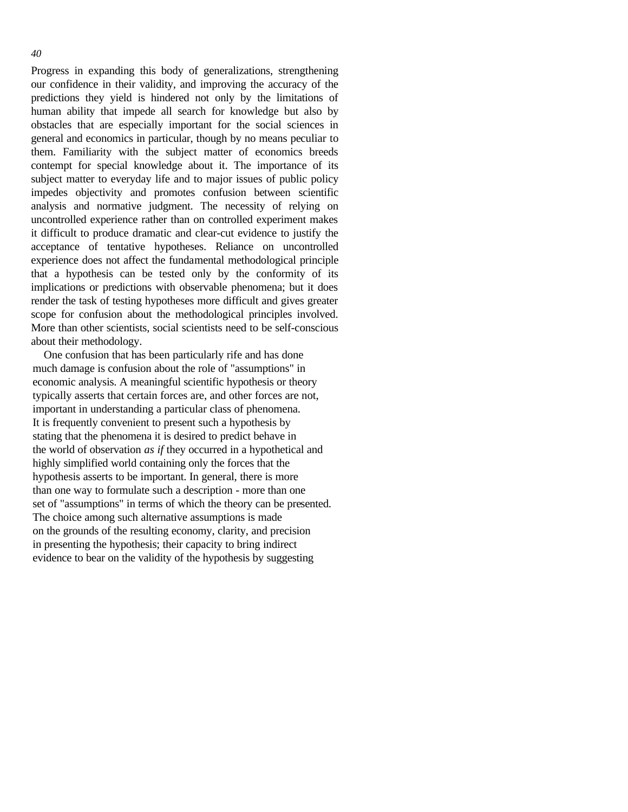Progress in expanding this body of generalizations, strengthening our confidence in their validity, and improving the accuracy of the predictions they yield is hindered not only by the limitations of human ability that impede all search for knowledge but also by obstacles that are especially important for the social sciences in general and economics in particular, though by no means peculiar to them. Familiarity with the subject matter of economics breeds contempt for special knowledge about it. The importance of its subject matter to everyday life and to major issues of public policy impedes objectivity and promotes confusion between scientific analysis and normative judgment. The necessity of relying on uncontrolled experience rather than on controlled experiment makes it difficult to produce dramatic and clear-cut evidence to justify the acceptance of tentative hypotheses. Reliance on uncontrolled experience does not affect the fundamental methodological principle that a hypothesis can be tested only by the conformity of its implications or predictions with observable phenomena; but it does render the task of testing hypotheses more difficult and gives greater scope for confusion about the methodological principles involved. More than other scientists, social scientists need to be self-conscious about their methodology.

One confusion that has been particularly rife and has done much damage is confusion about the role of "assumptions" in economic analysis. A meaningful scientific hypothesis or theory typically asserts that certain forces are, and other forces are not, important in understanding a particular class of phenomena. It is frequently convenient to present such a hypothesis by stating that the phenomena it is desired to predict behave in the world of observation *as if* they occurred in a hypothetical and highly simplified world containing only the forces that the hypothesis asserts to be important. In general, there is more than one way to formulate such a description - more than one set of "assumptions" in terms of which the theory can be presented. The choice among such alternative assumptions is made on the grounds of the resulting economy, clarity, and precision in presenting the hypothesis; their capacity to bring indirect evidence to bear on the validity of the hypothesis by suggesting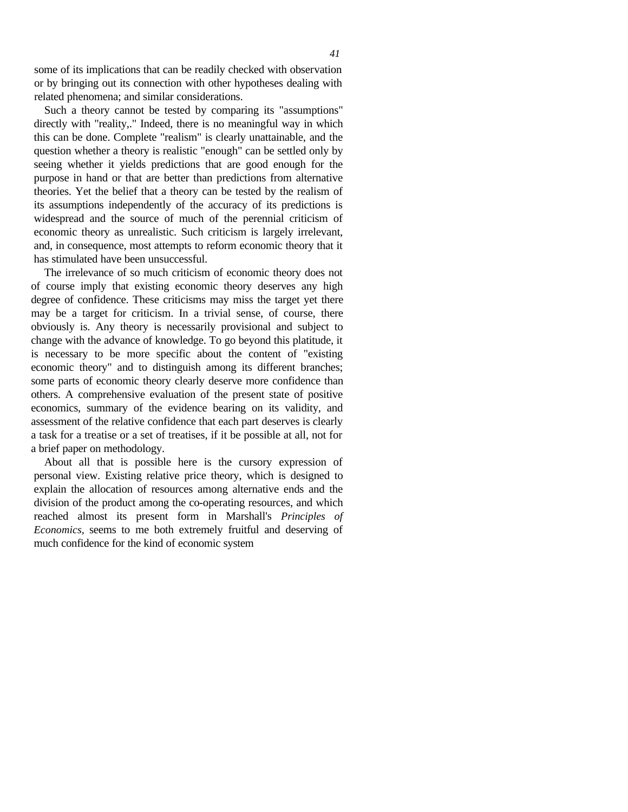some of its implications that can be readily checked with observation or by bringing out its connection with other hypotheses dealing with related phenomena; and similar considerations.

Such a theory cannot be tested by comparing its "assumptions" directly with "reality,." Indeed, there is no meaningful way in which this can be done. Complete "realism" is clearly unattainable, and the question whether a theory is realistic "enough" can be settled only by seeing whether it yields predictions that are good enough for the purpose in hand or that are better than predictions from alternative theories. Yet the belief that a theory can be tested by the realism of its assumptions independently of the accuracy of its predictions is widespread and the source of much of the perennial criticism of economic theory as unrealistic. Such criticism is largely irrelevant, and, in consequence, most attempts to reform economic theory that it has stimulated have been unsuccessful.

The irrelevance of so much criticism of economic theory does not of course imply that existing economic theory deserves any high degree of confidence. These criticisms may miss the target yet there may be a target for criticism. In a trivial sense, of course, there obviously is. Any theory is necessarily provisional and subject to change with the advance of knowledge. To go beyond this platitude, it is necessary to be more specific about the content of "existing economic theory" and to distinguish among its different branches; some parts of economic theory clearly deserve more confidence than others. A comprehensive evaluation of the present state of positive economics, summary of the evidence bearing on its validity, and assessment of the relative confidence that each part deserves is clearly a task for a treatise or a set of treatises, if it be possible at all, not for a brief paper on methodology.

About all that is possible here is the cursory expression of personal view. Existing relative price theory, which is designed to explain the allocation of resources among alternative ends and the division of the product among the co-operating resources, and which reached almost its present form in Marshall's *Principles of Economics,* seems to me both extremely fruitful and deserving of much confidence for the kind of economic system